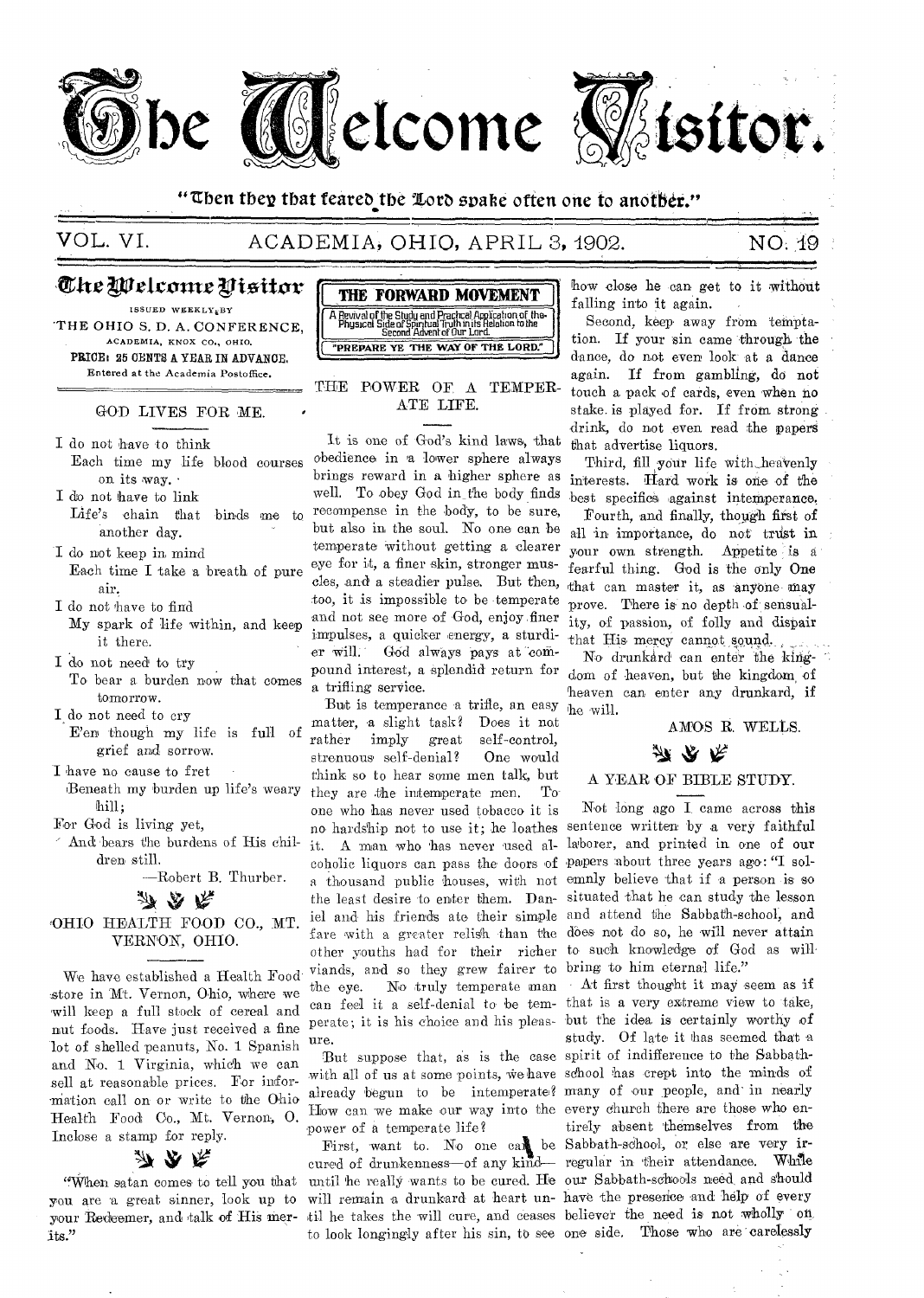

## "Then they that feared the Lord spake often one to another."

## ACADEMIA, OHIO, APRIL 3, 1902.

## NO. 19

## Che Welcome Visitor

ISSUED WEEKLY<sub>E</sub>BY THE OHIO S. D. A. CONFERENCE, ACADEMIA, KNOX CO., OHIO. PRICE: 25 CENTS A YEAR IN ADVANCE. Entered at the Academia Postoffice.

#### GOD LIVES FOR ME.

- I do not have to think Each time my life blood courses on its way. .
- I do not have to link Life's chain that binds me to another day.
- I do not keep in mind Each time I take a breath of pure air.
- I do not have to find
- My spark of life within, and keep it there.
- I do not need to try To bear a burden now that comes tomorrow.
- I do not need to cry E'en though my life is full of
- grief and sorrow. I have no cause to fret
- Beneath my burden up life's weary hill;
- For God is living yet,
- And bears the burdens of His children still.

-Robert B. Thurber.

みのな

OHIO HEALTH FOOD CO., MT. VERNON, OHIO.

We have established a Health Food store in Mt. Vernon, Ohio, where we will keep a full stock of cereal and nut foods. Have just received a fine lot of shelled peanuts, No. 1 Spanish and No. 1 Virginia, which we can sell at reasonable prices. For information call on or write to the Ohio Health Food Co., Mt. Vernon, O. Inclose a stamp for reply.

## 办 公 禾

"When satan comes to tell you that you are a great sinner, look up to its."



THE POWER OF A TEMPER-ATE LIFE.

It is one of God's kind laws, that obedience in a lower sphere always brings reward in a higher sphere as interests. Hard work is one of the well. To obey God in the body finds recompense in the body, to be sure, but also in the soul. No one can be temperate without getting a clearer eye for it, a finer skin, stronger muscles, and a steadier pulse. But then, too, it is impossible to be temperate and not see more of God, enjoy finer impulses, a quicker energy, a sturdier will. God always pays at compound interest, a splendid return for a trifling service.

But is temperance a trifle, an easy matter, a slight task? Does it not rather imply self-control. great strenuous self-denial? One would think so to hear some men talk, but they are the intemperate men.  $\mathcal{T}_{\Omega}$ one who has never used tobacco it is no hardship not to use it; he loathes sentence written by a very faithful it. A man who has never used al- laborer, and printed in one of our coholic liquors can pass the doors of papers about three years ago: "I sola thousand public houses, with not emnly believe that if a person is so the least desire to enter them. Dan- situated that he can study the lesson iel and his friends ate their simple and attend the Sabbath-school, and fare with a greater relish than the does not do so, he will never attain other youths had for their richer to such knowledge of God as will viands, and so they grew fairer to bring to him eternal life." the eye. can feel it a self-denial to be tem- that is a very extreme view to take, perate; it is his choice and his pleas- but the idea is certainly worthy of ure.

with all of us at some points, we have school has crept into the minds of already begun to be intemperate? many of our people, and in nearly How can we make our way into the every church there are those who enpower of a temperate life?

cured of drunkenness-of any kind- regular in their attendance. While until he really wants to be cured. He our Sabbath-schools need and should will remain a drunkard at heart un- have the presence and help of every your Redeemer, and talk of His mer- til he takes the will cure, and ceases believer the need is not wholly on to look longingly after his sin, to see one side. Those who are carelessly

how close he can get to it without falling into it again.

Second, keep away from temptation. If your sin came through the dance, do not even look at a dance again. If from gambling, do not touch a pack of cards, even when no stake is played for. If from strong drink, do not even read the papers that advertise liquors.

Third, fill your life with heavenly best specifics against intemperance. Fourth, and finally, though first of all in importance, do not trust in your own strength. Appetite is a fearful thing. God is the only One that can master it, as anyone may prove. There is no depth of sensuality, of passion, of folly and dispair that His mercy cannot sound.

No drunkard can enter the kingdom of heaven, but the kingdom of heaven can enter any drunkard, if he will.

#### AMOS R. WELLS.

## か ふ ぺ

## A YEAR OF BIBLE STUDY.

Not long ago I came across this

No truly temperate man At first thought it may seem as if study. Of late it has seemed that a But suppose that, as is the case spirit of indifference to the Sabbathtirely absent themselves from the First, want to. No one can be Sabbath-school, or else are very ir-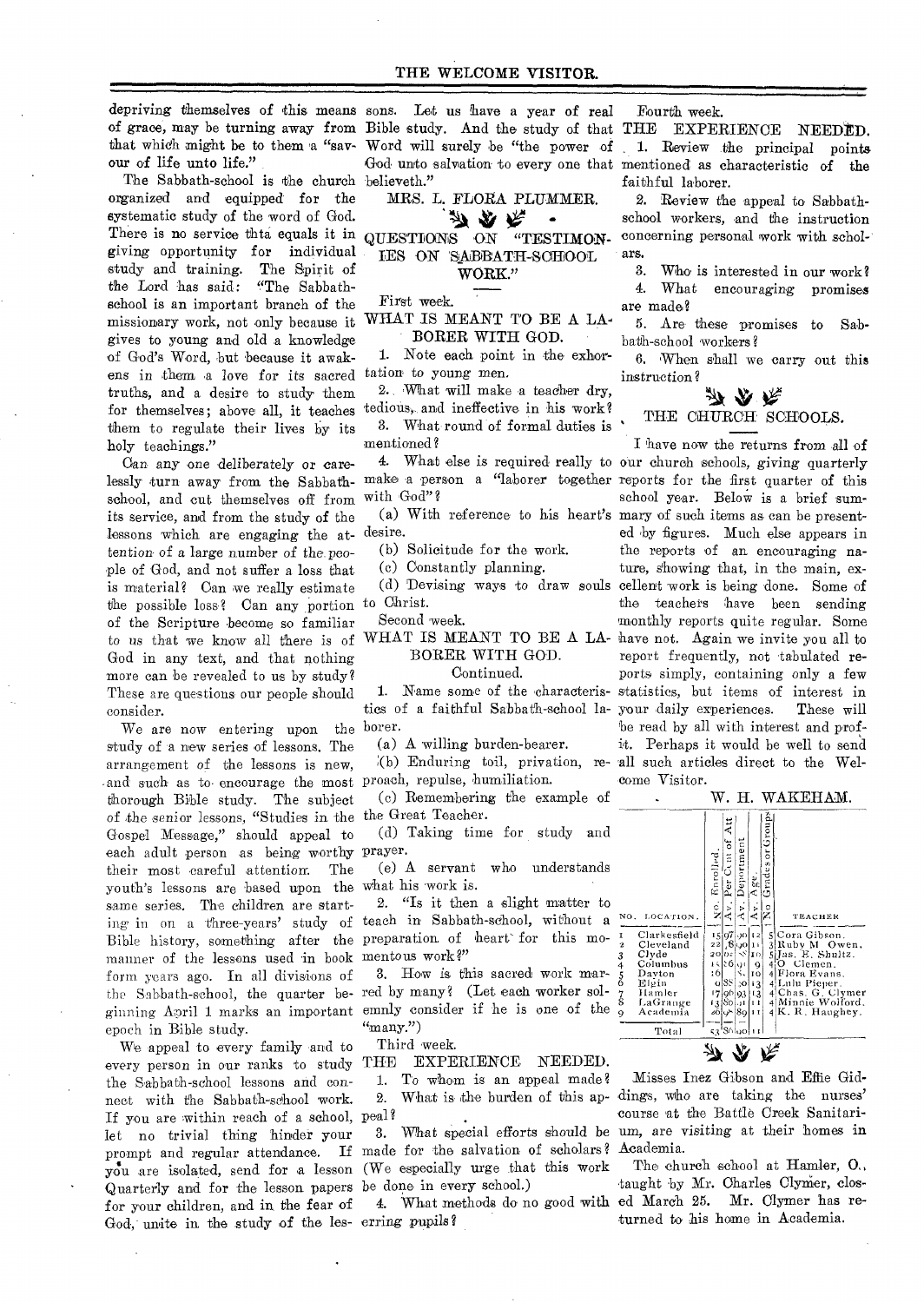depriving themselves of this means sons. Let us have a year of real our of life unto life."

The Sabbath-school is the church believeth." organized and equipped for the systematic study of the word of God. There is no service thta equals it in giving opportunity for individual study and training. The Spirit of the Lord has said: "The Sabbathschool is an important branch of the missionary work, not only because it gives to young and old a knowledge of God's Word, but because it awakens in them a love for its sacred truths, and a desire to study them for themselves; above all, it teaches them to regulate their lives by its holy teachings."

Can any one deliberately or carelessly turn away from the Sabbath- make a person a "laborer together reports for the first quarter of this school, and cut themselves off from its service, and from the study of the lessons which are engaging the attention of a *large* number of the, people of God, and not suffer a loss that is material? Can we really estimate the possible loss? Can any portion of the Scripture become so familiar to us that we know all there *is* of God in any text, and that nothing more can be revealed to us by study? These are questions our people should consider.

We are now entering upon the study of a new series of lessons. The arrangement of the lessons is new, and such as to• encourage the most thorough Bible study. The subject of the senior lessons, "Studies in the Gospel Message," should appeal to each adult person as being worthy their most careful attention. The youth's lessons are based upon the same series. The children are startmanner of the lessons used in book mentous work?" form years ago. In all divisions of epoch in Bible study.

We appeal to every family and to every person in our ranks to study THE EXPERIENCE NEEDED. the Sabbath-school lessons and connect with the Sabbath-school work. If you are within reach of a school, peal? let no trivial thing hinder your Quarterly and for the lesson papers be done in every school.) for your children, and in the fear of God, unite in the study of the les-erring pupils?

of grace, may be turning away from Bible study. And the study of that THE EXPERIENCE NEEDED. that which might be to them a "sav- Word will surely be "the power of 1. Review the principal points God unto salvation to every one that mentioned as characteristic of the

MRS. L. FLORA PLUMMER.

QUESTIONS ON "TESTIMON-IES ON SABBATH-SCHOOL

#### WORK."

First week.

#### WHAT IS MEANT TO BE A LA-BORER WITH GOD.

1. Note each point in the exhortation to young men.

2., What will make a teacher dry, tedious, and ineffective in his work? 3. What round of formal duties is mentioned?

with God"?

desire.

(b) Solicitude for the work.

(c) Constantly planning.

to Christ.

Second week.

BORER WITH GOD.

#### Continued.

borer.

(a) A willing burden-bearer.

proach, repulse, humiliation.

(c) Remembering the example of the Great Teacher.

(d) Taking time for study and prayer.

(e) A servant who understands what his work is.

ing in on a three-years' study of teach in Sabbath-school, without a Bible history, something after the preparation of heart' for this mo-2. "Is it then a slight matter to

the Sabbath-school, the quarter be- red by many? (Let each worker solginning April 1 marks an important emnly consider if he is one of the 3. How is this sacred work mar- $\lq$ <sup>"</sup>many.")

Third week.

1. To whom is an appeal made? 2. What is the burden of this ap-

prompt and regular attendance. If made for the salvation of scholars? you are isolated, send for a lesson (We especially urge that this work 3. What special efforts should be

Fourth week.

faithful laborer.

2. Review the appeal to Sabbathschool workers, and the instruction concerning personal work with scholars.

3. Who is interested in our work? 4. What encouraging promises

are made? 5. Are these promises to Sabbath-school 'workers?

6. When shall we carry out this instruction?

# THE CHURCH SCHOOLS.

4. What else is required really to our church schools, giving quarterly (a) With reference to his heart's mary of such items as can be present-(d) 'Devising ways to draw souls cellent work is being done. Some of WHAT IS MEANT TO BE A LA- have not. Again we invite you all to 1. Name some of the characteris- statistics, but items of interest in tics of a faithful Sabbath-school la-your daily experiences. These will (b) Enduring toil, privation, re- all such articles direct to the Wel-I have now the returns from all of school year. Below is a brief sumed by figures. Much else appears in the reports of an encouraging nature, showing that, in the main, exthe teachers have been sending monthly reports quite regular. Some report frequently, not tabulated reports simply, containing only a few be read by all with interest and profit. Perhaps it would be well to send come Visitor.

W. H. WAKEHAM.

NO, LOCATION . ,-  $\frac{1}{2}$  $\frac{\circ}{\mathbf{z}}$  $\begin{array}{c|c|c|c|c|c} \hline \text{L}}{\text{1}} & \text{L}} & \text{L}}{\text{1}} & \text{L}} & \text{L}} & \text{L}} \\ \hline \text{I} & \text{Clarkesfield} & 15 \overline{\sigma}^2/\rho_0 \text{L}^2} & \text{S} & \text{Gora Gibson.} \\ \hline 3 & \text{Clvedand} & 22 \overline{\rho}^2/\rho_0 \text{L}^2} & \text{S} & \text{R}} & \text{S} & \text{M} & \text{O} \\ \hline 4 & \text{Columbus} & 16 \overline{\rho}^2/\rho_0$  $-8.8$   $-8.8$   $-8.8$   $-8.8$   $-8.8$   $-8.8$   $-1.4$   $-8.8$   $-1.4$   $-1.6$   $-1.4$   $-1.4$  $2855752514$ v. Deportment  $5.7.7 \pm 0.7.4$  Av. Age. I No GradesorGroups, TEACHER  $Total$   $\frac{1}{53}$  S6 40  $\frac{1}{11}$ 

y r r

Misses Inez Gibson and Effie Giddings, who are taking the nurses' course 'at the Battle Creek Sanitarium, are visiting at their homes in Academia.

4. What methods do no good with ed March 25. Mr. Clymer has re-The church school at Hamler,  $O_{ij}$ , taught by Mr. Charles Clymer, closturned to his home in Academia.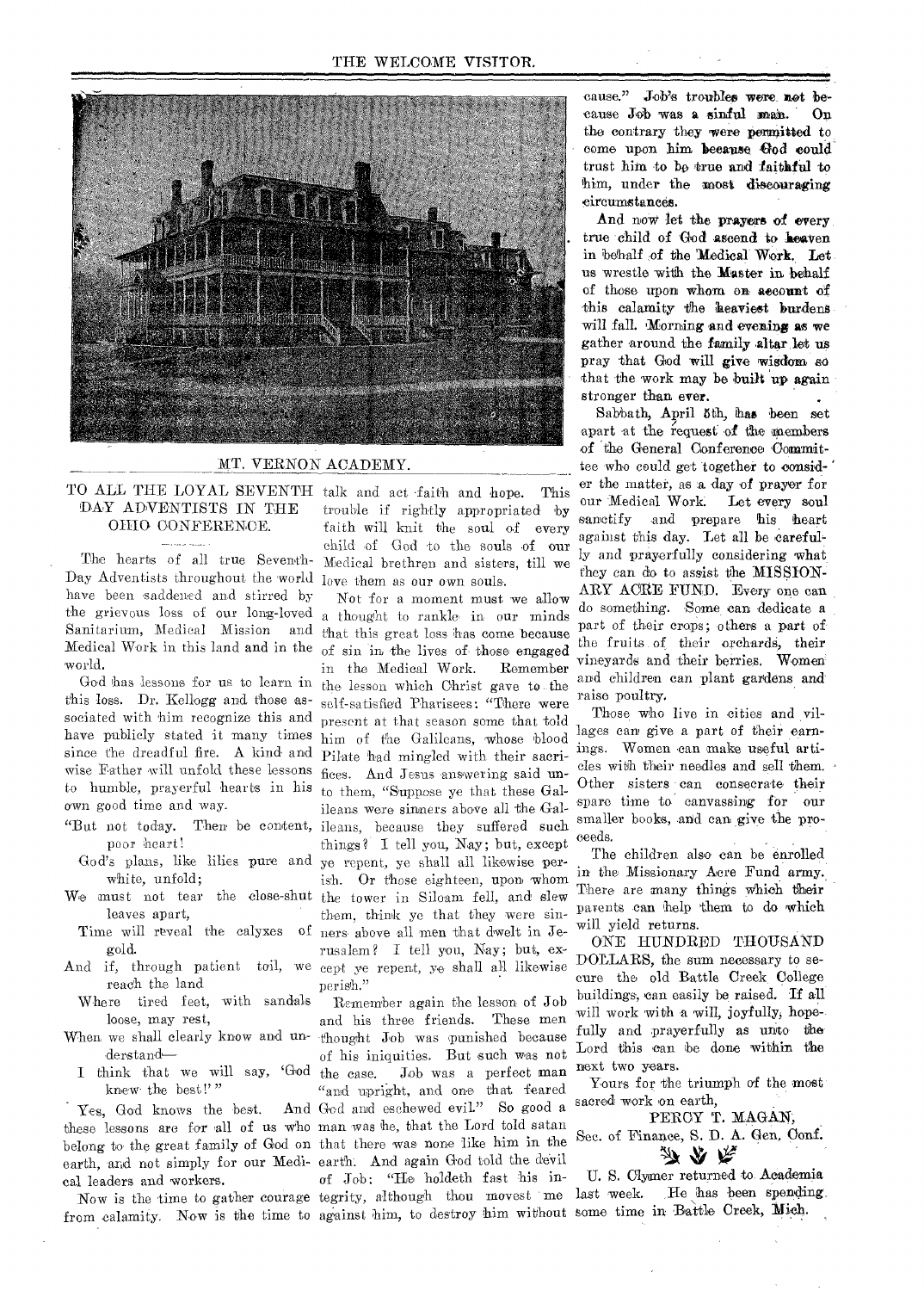

#### **MT. VERNON ACADEMY.**

#### **TO ALL THE LOYAL SEVENTH talk and act •faith and hope. This DAY ADVENTISTS IN THE OHIO CONFERENCE.**

Day Adventists throughout the world love them as our own souls. **have been saddened and stirred by the grievous loss of our long-loved Sanitarium, Medical Mission and Medical Work in this land and in the of sin In the lives of those engaged world.** 

**God has lessons for us to learn in this loss. Dr. Kellogg and those associated with him recognize this and have publicly stated it many times**  since the dreadful fire. A kind and **wise Father will unfold these lessons fices. And Jesus answering said unto humble, prayerful hearts in his own good time and way.** 

- **"But not today. Then be content, poor heart?** 
	- **God's plans, like lilies pure and white, unfold;**
- **We must not tear the close-shut leaves apart,**
- **Time will reveal the calyxes of gold.**
- **reach the land**
- **Where tired feet, with sandals loose, may rest,**
- **derstand—**
- **knew• the best!"**

Yes, God knows the best. **these lessons are for ell of us who man was he, that the Lord told satan belong to the great family of God on that there was none like him in the earth, and not simply for our Medi-earth. And again God told the devil cal leaders and workers.** 

from calamity. Now is the time to against him, to destroy him without some time in Battle Creek, Mich.

**The hearts of all true Seventh-Medical brethren and sisters, till we trouble if rightly appropriated by faith will knit the soul of every child of God to the souls of our** 

And if, through patient toil, we cept ye repent, ye shall all likewise **Not for a moment must we allow a thought to rankle. in our minds t'hat this great loss has come because in the Medical Work. Remember the lesson which Christ gave to. the self-satisfied Pharisees: "There were present at that season some that told him of the Galilean, whose blood Pilate had mingled with their sacrito them, "Suppose ye that these Gal**ileans were sinners above all the Gal**ileans, because they suffered such things? I tell you, Nay; but, except ye repent, ye shall all likewise perish. Or those eighteen, upon whom the tower in Siloam. fell, and slew them, think ye that they were sinners above all men that dwelt in Jerusalem? I tell you, Nay; but, experish."** 

**When we shall clearly know and n-thought Job was punished because I think that we will say, 'God the case. Job was a perfect man Remember again the lesson of Job and his three friends. These men of his iniquities. But such was not "and upright, and one that feared**  And God and eschewed evil." So good a **of Job: "He holdeth fast his in-**

Now is the time to gather courage tegrity, although thou movest me

**cause." Job's troubles were not because Job was a sinful man. On the oontrary they were permitted to come upon him because God could trust him to be true and faithful to him, under the most discouraging circumstances.** 

**And now let the prayers of every true child of God ascend to heaven**  in behalf of the Medical Work. Let **us wrestle with the Master in behalf of those upon whom on account of this calamity the heaviest burdens will fall. Morning and evening as we gather around the family altar let us pray that God will give wisdom so that the work may be built up again stronger than ever.** 

Sabbath, April 5th, has been set **apart at the request of the members**  of the General Conference Commit**tee who could get together to consider the matter, as a day of prayer for our Medical Work Let every soul sanctify and prepare his heart against this day. Let all be carefully and prayerfully considering what they can do to assist the mispION-**ARY ACRE FUND. Every one can **do something. Some.can dedicate a part of their craps; others a part of the fruits of their orchards, their vineyards and their berries. Women and children can plant gardens and raise poultry.** 

**Those who live in cities and villages can give a part of their earnings. Women can make useful arti**cles with their needles and sell them. Other sisters can consecrate their spare time to canvassing for our **smaller books, and can. give the proceeds.** 

The children also can be enrolled **in the Missionary Acre Fund army.. There are many things Which their parents can kelp them to do which will yield returns.** 

**ONE HUNDRED THOUSAND DOLLARS, the sum necessary to secure the old Battle Creek. College buildings, can easily be raised.** Tf all will work with a will, joyfully, hope**fully and prayerfully as unto the Lord this can be done within the next two years.** 

**Yours for the triumph of the most**  sacred work on earth,

PERCY T. MAGAN,

Sec. of Finance, S. D. A. Gen, Conf. 汤 公 庆

**U. S. Cflyimer returned to. Aeademia**  last week. He has been spending.